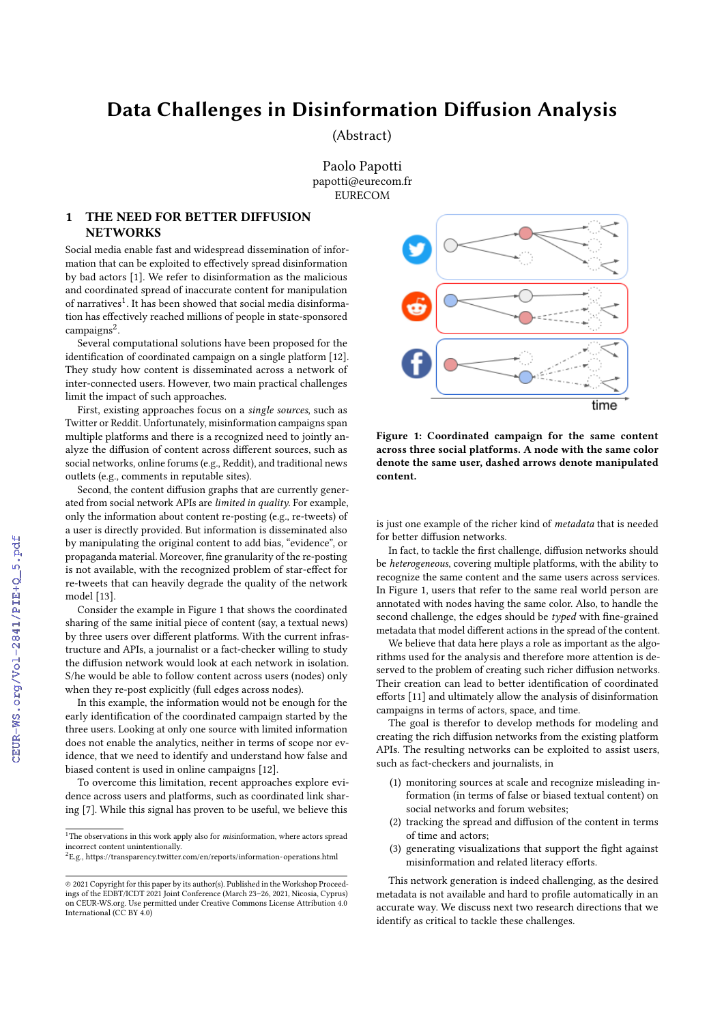## Data Challenges in Disinformation Diffusion Analysis

(Abstract)

Paolo Papotti papotti@eurecom.fr **EURECOM** 

## 1 THE NEED FOR BETTER DIFFUSION **NETWORKS**

Social media enable fast and widespread dissemination of information that can be exploited to effectively spread disinformation by bad actors [\[1\]](#page--1-0). We refer to disinformation as the malicious and coordinated spread of inaccurate content for manipulation of narratives<sup>[1](#page-0-0)</sup>. It has been showed that social media disinformation has effectively reached millions of people in state-sponsored campaigns<sup>[2](#page-0-1)</sup>.

Several computational solutions have been proposed for the identification of coordinated campaign on a single platform [\[12\]](#page--1-1). They study how content is disseminated across a network of inter-connected users. However, two main practical challenges limit the impact of such approaches.

First, existing approaches focus on a single sources, such as Twitter or Reddit. Unfortunately, misinformation campaigns span multiple platforms and there is a recognized need to jointly analyze the diffusion of content across different sources, such as social networks, online forums (e.g., Reddit), and traditional news outlets (e.g., comments in reputable sites).

Second, the content diffusion graphs that are currently generated from social network APIs are limited in quality. For example, only the information about content re-posting (e.g., re-tweets) of a user is directly provided. But information is disseminated also by manipulating the original content to add bias, "evidence", or propaganda material. Moreover, fine granularity of the re-posting is not available, with the recognized problem of star-effect for re-tweets that can heavily degrade the quality of the network model [\[13\]](#page--1-2).

Consider the example in Figure [1](#page-0-2) that shows the coordinated sharing of the same initial piece of content (say, a textual news) by three users over different platforms. With the current infrastructure and APIs, a journalist or a fact-checker willing to study the diffusion network would look at each network in isolation. S/he would be able to follow content across users (nodes) only when they re-post explicitly (full edges across nodes).

In this example, the information would not be enough for the early identification of the coordinated campaign started by the three users. Looking at only one source with limited information does not enable the analytics, neither in terms of scope nor evidence, that we need to identify and understand how false and biased content is used in online campaigns [\[12\]](#page--1-1).

To overcome this limitation, recent approaches explore evidence across users and platforms, such as coordinated link sharing [\[7\]](#page--1-3). While this signal has proven to be useful, we believe this

<span id="page-0-2"></span>

Figure 1: Coordinated campaign for the same content across three social platforms. A node with the same color denote the same user, dashed arrows denote manipulated content.

is just one example of the richer kind of metadata that is needed for better diffusion networks.

In fact, to tackle the first challenge, diffusion networks should be heterogeneous, covering multiple platforms, with the ability to recognize the same content and the same users across services. In Figure [1,](#page-0-2) users that refer to the same real world person are annotated with nodes having the same color. Also, to handle the second challenge, the edges should be typed with fine-grained metadata that model different actions in the spread of the content.

We believe that data here plays a role as important as the algorithms used for the analysis and therefore more attention is deserved to the problem of creating such richer diffusion networks. Their creation can lead to better identification of coordinated efforts [\[11\]](#page--1-4) and ultimately allow the analysis of disinformation campaigns in terms of actors, space, and time.

The goal is therefor to develop methods for modeling and creating the rich diffusion networks from the existing platform APIs. The resulting networks can be exploited to assist users, such as fact-checkers and journalists, in

- (1) monitoring sources at scale and recognize misleading information (in terms of false or biased textual content) on social networks and forum websites;
- (2) tracking the spread and diffusion of the content in terms of time and actors;
- (3) generating visualizations that support the fight against misinformation and related literacy efforts.

This network generation is indeed challenging, as the desired metadata is not available and hard to profile automatically in an accurate way. We discuss next two research directions that we identify as critical to tackle these challenges.

<span id="page-0-0"></span> $^{\rm 1}{\rm The}$  observations in this work apply also for  $m$ isinformation, where actors spread incorrect content unintentionally.

<span id="page-0-1"></span> ${}^{2}E.g.,$ <https://transparency.twitter.com/en/reports/information-operations.html>

<sup>©</sup> 2021 Copyright for this paper by its author(s). Published in the Workshop Proceedings of the EDBT/ICDT 2021 Joint Conference (March 23–26, 2021, Nicosia, Cyprus) on CEUR-WS.org. Use permitted under Creative Commons License Attribution 4.0 International (CC BY 4.0)